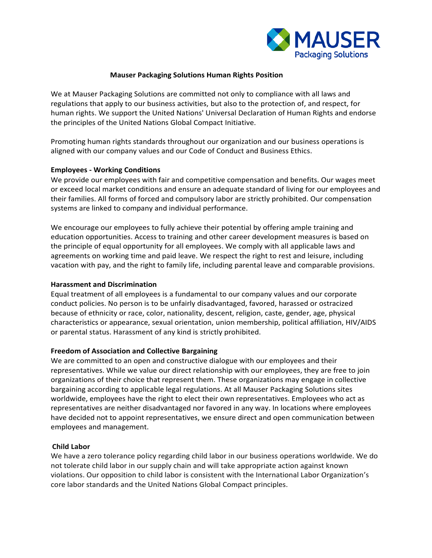

# **Mauser Packaging Solutions Human Rights Position**

We at Mauser Packaging Solutions are committed not only to compliance with all laws and regulations that apply to our business activities, but also to the protection of, and respect, for human rights. We support the United Nations' Universal Declaration of Human Rights and endorse the principles of the United Nations Global Compact Initiative.

Promoting human rights standards throughout our organization and our business operations is aligned with our company values and our Code of Conduct and Business Ethics.

## **Employees - Working Conditions**

We provide our employees with fair and competitive compensation and benefits. Our wages meet or exceed local market conditions and ensure an adequate standard of living for our employees and their families. All forms of forced and compulsory labor are strictly prohibited. Our compensation systems are linked to company and individual performance.

We encourage our employees to fully achieve their potential by offering ample training and education opportunities. Access to training and other career development measures is based on the principle of equal opportunity for all employees. We comply with all applicable laws and agreements on working time and paid leave. We respect the right to rest and leisure, including vacation with pay, and the right to family life, including parental leave and comparable provisions.

## **Harassment and Discrimination**

Equal treatment of all employees is a fundamental to our company values and our corporate conduct policies. No person is to be unfairly disadvantaged, favored, harassed or ostracized because of ethnicity or race, color, nationality, descent, religion, caste, gender, age, physical characteristics or appearance, sexual orientation, union membership, political affiliation, HIV/AIDS or parental status. Harassment of any kind is strictly prohibited.

# **Freedom of Association and Collective Bargaining**

We are committed to an open and constructive dialogue with our employees and their representatives. While we value our direct relationship with our employees, they are free to join organizations of their choice that represent them. These organizations may engage in collective bargaining according to applicable legal regulations. At all Mauser Packaging Solutions sites worldwide, employees have the right to elect their own representatives. Employees who act as representatives are neither disadvantaged nor favored in any way. In locations where employees have decided not to appoint representatives, we ensure direct and open communication between employees and management.

## **Child Labor**

We have a zero tolerance policy regarding child labor in our business operations worldwide. We do not tolerate child labor in our supply chain and will take appropriate action against known violations. Our opposition to child labor is consistent with the International Labor Organization's core labor standards and the United Nations Global Compact principles.